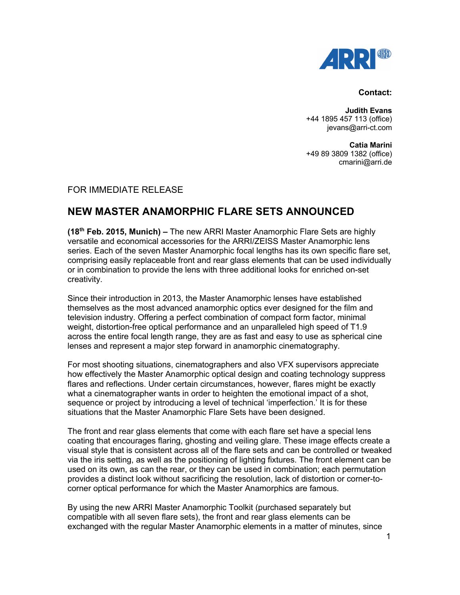

## **Contact:**

**Judith Evans** +44 1895 457 113 (office) jevans@arri-ct.com

**Catia Marini** +49 89 3809 1382 (office) cmarini@arri.de

## FOR IMMEDIATE RELEASE

## **NEW MASTER ANAMORPHIC FLARE SETS ANNOUNCED**

**(18th Feb. 2015, Munich) –** The new ARRI Master Anamorphic Flare Sets are highly versatile and economical accessories for the ARRI/ZEISS Master Anamorphic lens series. Each of the seven Master Anamorphic focal lengths has its own specific flare set, comprising easily replaceable front and rear glass elements that can be used individually or in combination to provide the lens with three additional looks for enriched on-set creativity.

Since their introduction in 2013, the Master Anamorphic lenses have established themselves as the most advanced anamorphic optics ever designed for the film and television industry. Offering a perfect combination of compact form factor, minimal weight, distortion-free optical performance and an unparalleled high speed of T1.9 across the entire focal length range, they are as fast and easy to use as spherical cine lenses and represent a major step forward in anamorphic cinematography.

For most shooting situations, cinematographers and also VFX supervisors appreciate how effectively the Master Anamorphic optical design and coating technology suppress flares and reflections. Under certain circumstances, however, flares might be exactly what a cinematographer wants in order to heighten the emotional impact of a shot, sequence or project by introducing a level of technical 'imperfection.' It is for these situations that the Master Anamorphic Flare Sets have been designed.

The front and rear glass elements that come with each flare set have a special lens coating that encourages flaring, ghosting and veiling glare. These image effects create a visual style that is consistent across all of the flare sets and can be controlled or tweaked via the iris setting, as well as the positioning of lighting fixtures. The front element can be used on its own, as can the rear, or they can be used in combination; each permutation provides a distinct look without sacrificing the resolution, lack of distortion or corner-tocorner optical performance for which the Master Anamorphics are famous.

By using the new ARRI Master Anamorphic Toolkit (purchased separately but compatible with all seven flare sets), the front and rear glass elements can be exchanged with the regular Master Anamorphic elements in a matter of minutes, since